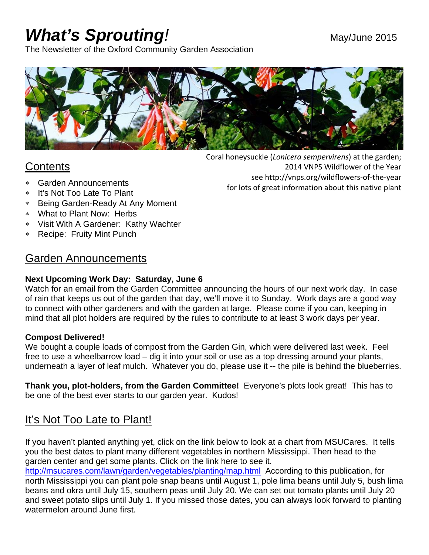# *What's Sprouting!* May/June 2015

2014 VNPS Wildflower of the Year

see http://vnps.org/wildflowers‐of‐the‐year

for lots of great information about this native plant

The Newsletter of the Oxford Community Garden Association



### **Contents**

- Garden Announcements
- It's Not Too Late To Plant
- Being Garden-Ready At Any Moment
- What to Plant Now: Herbs
- Visit With A Gardener: Kathy Wachter
- Recipe: Fruity Mint Punch

#### Garden Announcements

#### **Next Upcoming Work Day: Saturday, June 6**

Watch for an email from the Garden Committee announcing the hours of our next work day. In case of rain that keeps us out of the garden that day, we'll move it to Sunday. Work days are a good way to connect with other gardeners and with the garden at large. Please come if you can, keeping in mind that all plot holders are required by the rules to contribute to at least 3 work days per year.

#### **Compost Delivered!**

We bought a couple loads of compost from the Garden Gin, which were delivered last week. Feel free to use a wheelbarrow load – dig it into your soil or use as a top dressing around your plants, underneath a layer of leaf mulch. Whatever you do, please use it -- the pile is behind the blueberries.

**Thank you, plot-holders, from the Garden Committee!** Everyone's plots look great! This has to be one of the best ever starts to our garden year. Kudos!

## It's Not Too Late to Plant!

If you haven't planted anything yet, click on the link below to look at a chart from MSUCares. It tells you the best dates to plant many different vegetables in northern Mississippi. Then head to the garden center and get some plants. Click on the link here to see it.

http://msucares.com/lawn/garden/vegetables/planting/map.html According to this publication, for north Mississippi you can plant pole snap beans until August 1, pole lima beans until July 5, bush lima beans and okra until July 15, southern peas until July 20. We can set out tomato plants until July 20 and sweet potato slips until July 1. If you missed those dates, you can always look forward to planting watermelon around June first.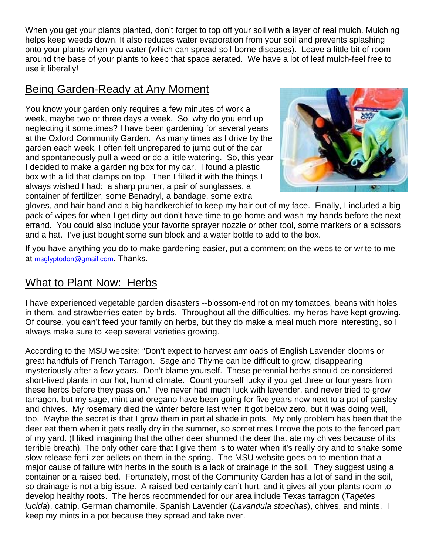When you get your plants planted, don't forget to top off your soil with a layer of real mulch. Mulching helps keep weeds down. It also reduces water evaporation from your soil and prevents splashing onto your plants when you water (which can spread soil-borne diseases). Leave a little bit of room around the base of your plants to keep that space aerated. We have a lot of leaf mulch-feel free to use it liberally!

#### Being Garden-Ready at Any Moment

You know your garden only requires a few minutes of work a week, maybe two or three days a week. So, why do you end up neglecting it sometimes? I have been gardening for several years at the Oxford Community Garden. As many times as I drive by the garden each week, I often felt unprepared to jump out of the car and spontaneously pull a weed or do a little watering. So, this year I decided to make a gardening box for my car. I found a plastic box with a lid that clamps on top. Then I filled it with the things I always wished I had: a sharp pruner, a pair of sunglasses, a container of fertilizer, some Benadryl, a bandage, some extra



gloves, and hair band and a big handkerchief to keep my hair out of my face. Finally, I included a big pack of wipes for when I get dirty but don't have time to go home and wash my hands before the next errand. You could also include your favorite sprayer nozzle or other tool, some markers or a scissors and a hat. I've just bought some sun block and a water bottle to add to the box.

If you have anything you do to make gardening easier, put a comment on the website or write to me at msglyptodon@gmail.com. Thanks.

## What to Plant Now: Herbs

I have experienced vegetable garden disasters --blossom-end rot on my tomatoes, beans with holes in them, and strawberries eaten by birds. Throughout all the difficulties, my herbs have kept growing. Of course, you can't feed your family on herbs, but they do make a meal much more interesting, so I always make sure to keep several varieties growing.

According to the MSU website: "Don't expect to harvest armloads of English Lavender blooms or great handfuls of French Tarragon. Sage and Thyme can be difficult to grow, disappearing mysteriously after a few years. Don't blame yourself. These perennial herbs should be considered short-lived plants in our hot, humid climate. Count yourself lucky if you get three or four years from these herbs before they pass on." I've never had much luck with lavender, and never tried to grow tarragon, but my sage, mint and oregano have been going for five years now next to a pot of parsley and chives. My rosemary died the winter before last when it got below zero, but it was doing well, too. Maybe the secret is that I grow them in partial shade in pots. My only problem has been that the deer eat them when it gets really dry in the summer, so sometimes I move the pots to the fenced part of my yard. (I liked imagining that the other deer shunned the deer that ate my chives because of its terrible breath). The only other care that I give them is to water when it's really dry and to shake some slow release fertilizer pellets on them in the spring. The MSU website goes on to mention that a major cause of failure with herbs in the south is a lack of drainage in the soil. They suggest using a container or a raised bed. Fortunately, most of the Community Garden has a lot of sand in the soil, so drainage is not a big issue. A raised bed certainly can't hurt, and it gives all your plants room to develop healthy roots. The herbs recommended for our area include Texas tarragon (*Tagetes lucida*), catnip, German chamomile, Spanish Lavender (*Lavandula stoechas*), chives, and mints. I keep my mints in a pot because they spread and take over.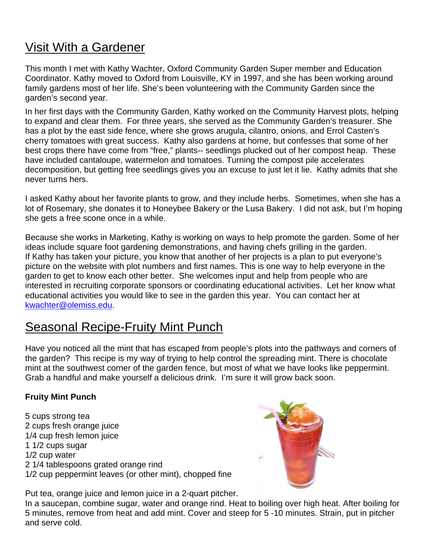# Visit With a Gardener

This month I met with Kathy Wachter, Oxford Community Garden Super member and Education Coordinator. Kathy moved to Oxford from Louisville, KY in 1997, and she has been working around family gardens most of her life. She's been volunteering with the Community Garden since the garden's second year.

In her first days with the Community Garden, Kathy worked on the Community Harvest plots, helping to expand and clear them. For three years, she served as the Community Garden's treasurer. She has a plot by the east side fence, where she grows arugula, cilantro, onions, and Errol Casten's cherry tomatoes with great success. Kathy also gardens at home, but confesses that some of her best crops there have come from "free," plants-- seedlings plucked out of her compost heap. These have included cantaloupe, watermelon and tomatoes. Turning the compost pile accelerates decomposition, but getting free seedlings gives you an excuse to just let it lie. Kathy admits that she never turns hers.

I asked Kathy about her favorite plants to grow, and they include herbs. Sometimes, when she has a lot of Rosemary, she donates it to Honeybee Bakery or the Lusa Bakery. I did not ask, but I'm hoping she gets a free scone once in a while.

Because she works in Marketing, Kathy is working on ways to help promote the garden. Some of her ideas include square foot gardening demonstrations, and having chefs grilling in the garden. If Kathy has taken your picture, you know that another of her projects is a plan to put everyone's picture on the website with plot numbers and first names. This is one way to help everyone in the garden to get to know each other better. She welcomes input and help from people who are interested in recruiting corporate sponsors or coordinating educational activities. Let her know what educational activities you would like to see in the garden this year. You can contact her at kwachter@olemiss.edu.

## Seasonal Recipe-Fruity Mint Punch

Have you noticed all the mint that has escaped from people's plots into the pathways and corners of the garden? This recipe is my way of trying to help control the spreading mint. There is chocolate mint at the southwest corner of the garden fence, but most of what we have looks like peppermint. Grab a handful and make yourself a delicious drink. I'm sure it will grow back soon.

#### **Fruity Mint Punch**

5 cups strong tea 2 cups fresh orange juice 1/4 cup fresh lemon juice 1 1/2 cups sugar 1/2 cup water 2 1/4 tablespoons grated orange rind 1/2 cup peppermint leaves (or other mint), chopped fine



Put tea, orange juice and lemon juice in a 2-quart pitcher.

In a saucepan, combine sugar, water and orange rind. Heat to boiling over high heat. After boiling for 5 minutes, remove from heat and add mint. Cover and steep for 5 -10 minutes. Strain, put in pitcher and serve cold.